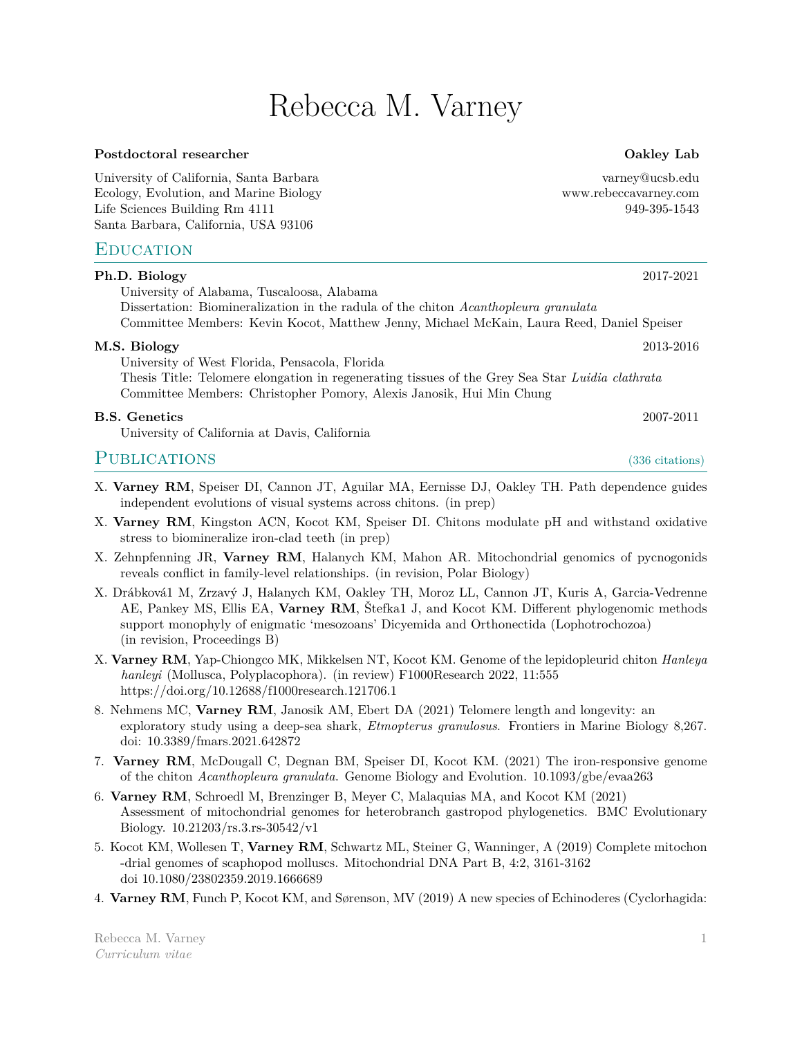# Rebecca M. Varney

#### Postdoctoral researcher **Contact Contact Search** Contact Contact Contact Contact Contact Contact Contact Contact Contact Contact Contact Contact Contact Contact Contact Contact Contact Contact Contact Contact Contact Conta

University of California, Santa Barbara varney@ucsb.edu Ecology, Evolution, and Marine Biology www.rebeccavarney.com Life Sciences Building Rm 4111 949-395-1543 Santa Barbara, California, USA 93106

#### **EDUCATION**

| Ph.D. Biology                                                                                   | 2017-2021 |
|-------------------------------------------------------------------------------------------------|-----------|
| University of Alabama, Tuscaloosa, Alabama                                                      |           |
| Dissertation: Biomineralization in the radula of the chiton Acanthopleura granulata             |           |
| Committee Members: Kevin Kocot, Matthew Jenny, Michael McKain, Laura Reed, Daniel Speiser       |           |
| M.S. Biology                                                                                    | 2013-2016 |
| University of West Florida, Pensacola, Florida                                                  |           |
| Thesis Title: Telomere elongation in regenerating tissues of the Grey Sea Star Luidia clathrata |           |
| Committee Members: Christopher Pomory, Alexis Janosik, Hui Min Chung                            |           |
| B.S. Genetics                                                                                   | 2007-2011 |
|                                                                                                 |           |

University of California at Davis, California

# PUBLICATIONS (336 citations)

- X. **Varney RM**, Speiser DI, Cannon JT, Aguilar MA, Eernisse DJ, Oakley TH. Path dependence guides independent evolutions of visual systems across chitons. (in prep)
- X. **Varney RM**, Kingston ACN, Kocot KM, Speiser DI. Chitons modulate pH and withstand oxidative stress to biomineralize iron-clad teeth (in prep)
- X. Zehnpfenning JR, **Varney RM**, Halanych KM, Mahon AR. Mitochondrial genomics of pycnogonids reveals conflict in family-level relationships. (in revision, Polar Biology)
- X. Drábková1 M, Zrzavý J, Halanych KM, Oakley TH, Moroz LL, Cannon JT, Kuris A, Garcia-Vedrenne AE, Pankey MS, Ellis EA, **Varney RM**, Štefka1 J, and Kocot KM. Different phylogenomic methods support monophyly of enigmatic 'mesozoans' Dicyemida and Orthonectida (Lophotrochozoa) (in revision, Proceedings B)
- X. **Varney RM**, Yap-Chiongco MK, Mikkelsen NT, Kocot KM. Genome of the lepidopleurid chiton *Hanleya hanleyi* (Mollusca, Polyplacophora). (in review) F1000Research 2022, 11:555 https://doi.org/10.12688/f1000research.121706.1
- 8. Nehmens MC, **Varney RM**, Janosik AM, Ebert DA (2021) Telomere length and longevity: an exploratory study using a deep-sea shark, *Etmopterus granulosus*. Frontiers in Marine Biology 8,267. doi: 10.3389/fmars.2021.642872
- 7. **Varney RM**, McDougall C, Degnan BM, Speiser DI, Kocot KM. (2021) The iron-responsive genome of the chiton *Acanthopleura granulata*. Genome Biology and Evolution. 10.1093/gbe/evaa263
- 6. **Varney RM**, Schroedl M, Brenzinger B, Meyer C, Malaquias MA, and Kocot KM (2021) Assessment of mitochondrial genomes for heterobranch gastropod phylogenetics. BMC Evolutionary Biology. 10.21203/rs.3.rs-30542/v1
- 5. Kocot KM, Wollesen T, **Varney RM**, Schwartz ML, Steiner G, Wanninger, A (2019) Complete mitochon -drial genomes of scaphopod molluscs. Mitochondrial DNA Part B, 4:2, 3161-3162 doi 10.1080/23802359.2019.1666689
- 4. **Varney RM**, Funch P, Kocot KM, and Sørenson, MV (2019) A new species of Echinoderes (Cyclorhagida: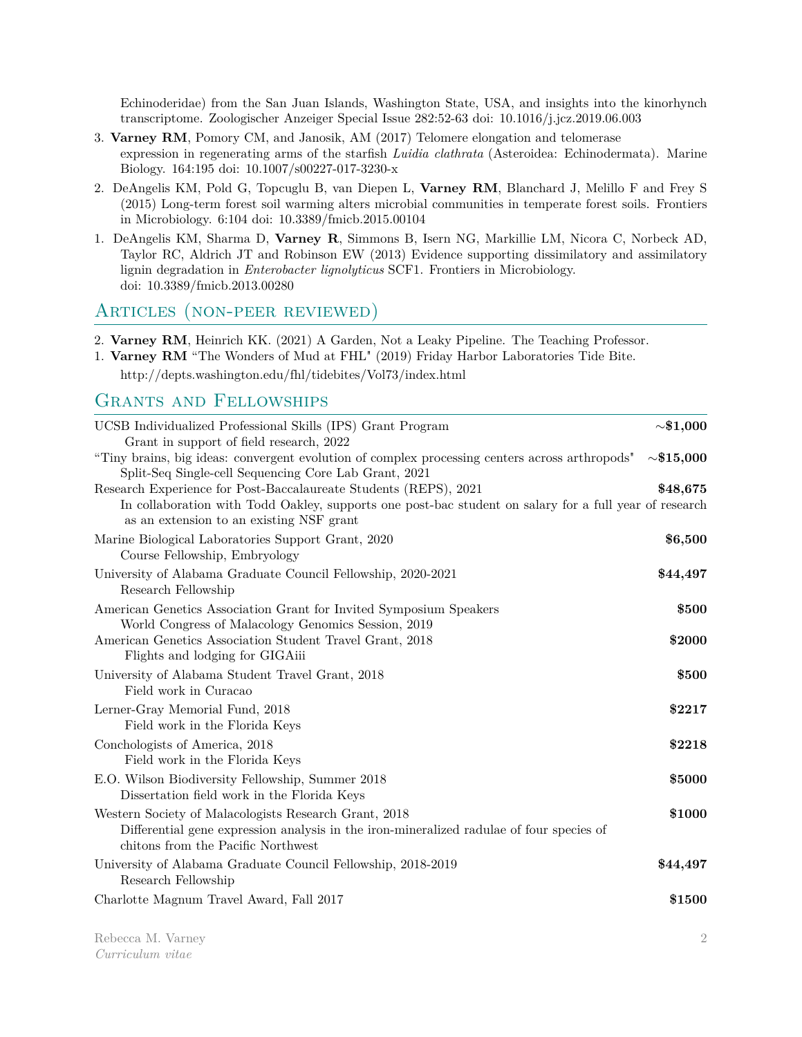Echinoderidae) from the San Juan Islands, Washington State, USA, and insights into the kinorhynch transcriptome. Zoologischer Anzeiger Special Issue 282:52-63 doi: 10.1016/j.jcz.2019.06.003

- 3. **Varney RM**, Pomory CM, and Janosik, AM (2017) Telomere elongation and telomerase expression in regenerating arms of the starfish *Luidia clathrata* (Asteroidea: Echinodermata). Marine Biology. 164:195 doi: 10.1007/s00227-017-3230-x
- 2. DeAngelis KM, Pold G, Topcuglu B, van Diepen L, **Varney RM**, Blanchard J, Melillo F and Frey S (2015) Long-term forest soil warming alters microbial communities in temperate forest soils. Frontiers in Microbiology. 6:104 doi: 10.3389/fmicb.2015.00104
- 1. DeAngelis KM, Sharma D, **Varney R**, Simmons B, Isern NG, Markillie LM, Nicora C, Norbeck AD, Taylor RC, Aldrich JT and Robinson EW (2013) Evidence supporting dissimilatory and assimilatory lignin degradation in *Enterobacter lignolyticus* SCF1. Frontiers in Microbiology. doi: 10.3389/fmicb.2013.00280

#### Articles (non-peer reviewed)

2. **Varney RM**, Heinrich KK. (2021) A Garden, Not a Leaky Pipeline. The Teaching Professor.

- 1. **Varney RM** "The Wonders of Mud at FHL" (2019) Friday Harbor Laboratories Tide Bite.
	- http://depts.washington.edu/fhl/tidebites/Vol73/index.html

## Grants and Fellowships

| UCSB Individualized Professional Skills (IPS) Grant Program<br>Grant in support of field research, 2022                                                                                                                | $\sim\!\!\$1,\!000$ |
|------------------------------------------------------------------------------------------------------------------------------------------------------------------------------------------------------------------------|---------------------|
| "Tiny brains, big ideas: convergent evolution of complex processing centers across arthropods"<br>Split-Seq Single-cell Sequencing Core Lab Grant, 2021                                                                | ${\sim}\$15{,}000$  |
| Research Experience for Post-Baccalaureate Students (REPS), 2021<br>In collaboration with Todd Oakley, supports one post-bac student on salary for a full year of research<br>as an extension to an existing NSF grant | \$48,675            |
| Marine Biological Laboratories Support Grant, 2020<br>Course Fellowship, Embryology                                                                                                                                    | \$6,500             |
| University of Alabama Graduate Council Fellowship, 2020-2021<br>Research Fellowship                                                                                                                                    | \$44,497            |
| American Genetics Association Grant for Invited Symposium Speakers<br>World Congress of Malacology Genomics Session, 2019                                                                                              | \$500               |
| American Genetics Association Student Travel Grant, 2018<br>Flights and lodging for GIGAiii                                                                                                                            | \$2000              |
| University of Alabama Student Travel Grant, 2018<br>Field work in Curacao                                                                                                                                              | \$500               |
| Lerner-Gray Memorial Fund, 2018<br>Field work in the Florida Keys                                                                                                                                                      | \$2217              |
| Conchologists of America, 2018<br>Field work in the Florida Keys                                                                                                                                                       | \$2218              |
| E.O. Wilson Biodiversity Fellowship, Summer 2018<br>Dissertation field work in the Florida Keys                                                                                                                        | \$5000              |
| Western Society of Malacologists Research Grant, 2018<br>Differential gene expression analysis in the iron-mineralized radulae of four species of<br>chitons from the Pacific Northwest                                | \$1000              |
| University of Alabama Graduate Council Fellowship, 2018-2019<br>Research Fellowship                                                                                                                                    | \$44,497            |
| Charlotte Magnum Travel Award, Fall 2017                                                                                                                                                                               | \$1500              |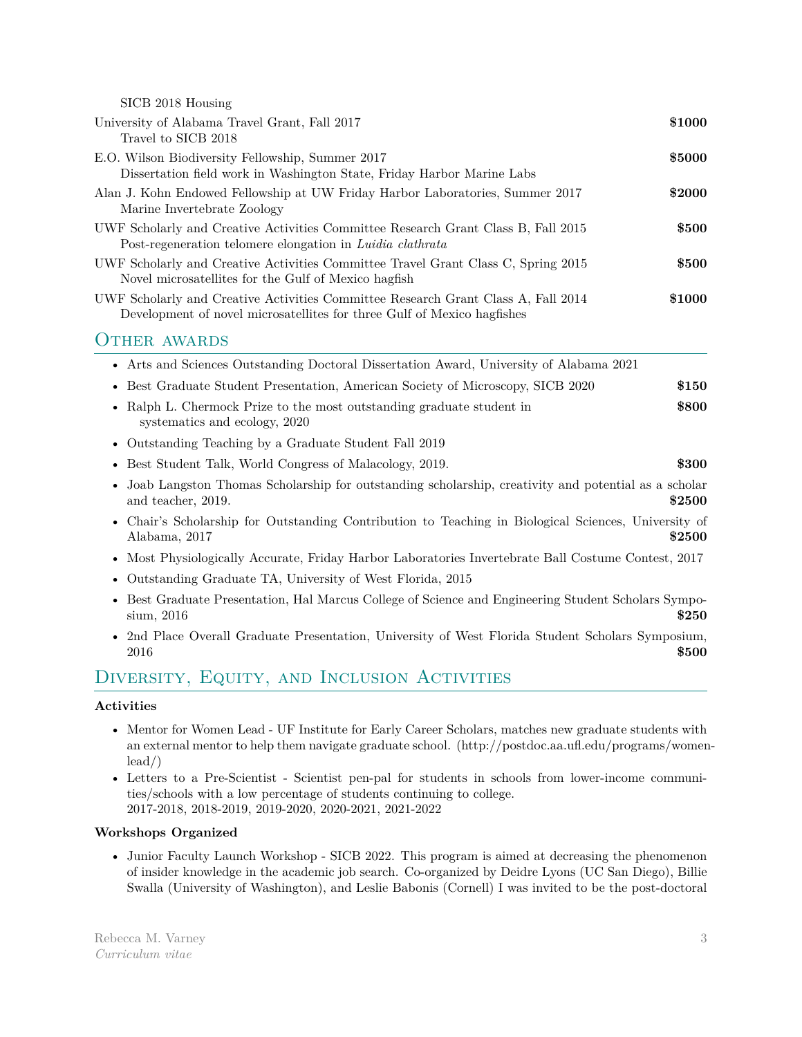SICB 2018 Housing

| University of Alabama Travel Grant, Fall 2017<br>Travel to SICB 2018                                                                                          | \$1000 |
|---------------------------------------------------------------------------------------------------------------------------------------------------------------|--------|
| E.O. Wilson Biodiversity Fellowship, Summer 2017<br>Dissertation field work in Washington State, Friday Harbor Marine Labs                                    | \$5000 |
| Alan J. Kohn Endowed Fellowship at UW Friday Harbor Laboratories, Summer 2017<br>Marine Invertebrate Zoology                                                  | \$2000 |
| UWF Scholarly and Creative Activities Committee Research Grant Class B, Fall 2015<br>Post-regeneration telomere elongation in Luidia clathrata                | \$500  |
| UWF Scholarly and Creative Activities Committee Travel Grant Class C, Spring 2015<br>Novel microsatellites for the Gulf of Mexico hagfish                     | \$500  |
| UWF Scholarly and Creative Activities Committee Research Grant Class A, Fall 2014<br>Development of novel microsatellities for three Gulf of Mexico hagfishes | \$1000 |
| <b>OTHER AWARDS</b>                                                                                                                                           |        |
| • Arts and Sciences Outstanding Doctoral Dissertation Award, University of Alabama 2021                                                                       |        |

|  |  | • Best Graduate Student Presentation, American Society of Microscopy, SICB 2020 |  |  | \$150 |
|--|--|---------------------------------------------------------------------------------|--|--|-------|
|--|--|---------------------------------------------------------------------------------|--|--|-------|

- Ralph L. Chermock Prize to the most outstanding graduate student in **\$800** systematics and ecology, 2020
- Outstanding Teaching by a Graduate Student Fall 2019
- Best Student Talk, World Congress of Malacology, 2019. **\$300**
- Joab Langston Thomas Scholarship for outstanding scholarship, creativity and potential as a scholar and teacher, 2019. **\$2500**
- Chair's Scholarship for Outstanding Contribution to Teaching in Biological Sciences, University of Alabama, 2017 **\$2500**
- Most Physiologically Accurate, Friday Harbor Laboratories Invertebrate Ball Costume Contest, 2017
- Outstanding Graduate TA, University of West Florida, 2015
- Best Graduate Presentation, Hal Marcus College of Science and Engineering Student Scholars Sympo- $\frac{\text{sim}}{2016}$  **\$250**
- 2nd Place Overall Graduate Presentation, University of West Florida Student Scholars Symposium, **2016 \$500**

# Diversity, Equity, and Inclusion Activities

#### **Activities**

- Mentor for Women Lead UF Institute for Early Career Scholars, matches new graduate students with an external mentor to help them navigate graduate school. (http://postdoc.aa.ufl.edu/programs/womenlead/)
- Letters to a Pre-Scientist Scientist pen-pal for students in schools from lower-income communities/schools with a low percentage of students continuing to college. 2017-2018, 2018-2019, 2019-2020, 2020-2021, 2021-2022

#### **Workshops Organized**

• Junior Faculty Launch Workshop - SICB 2022. This program is aimed at decreasing the phenomenon of insider knowledge in the academic job search. Co-organized by Deidre Lyons (UC San Diego), Billie Swalla (University of Washington), and Leslie Babonis (Cornell) I was invited to be the post-doctoral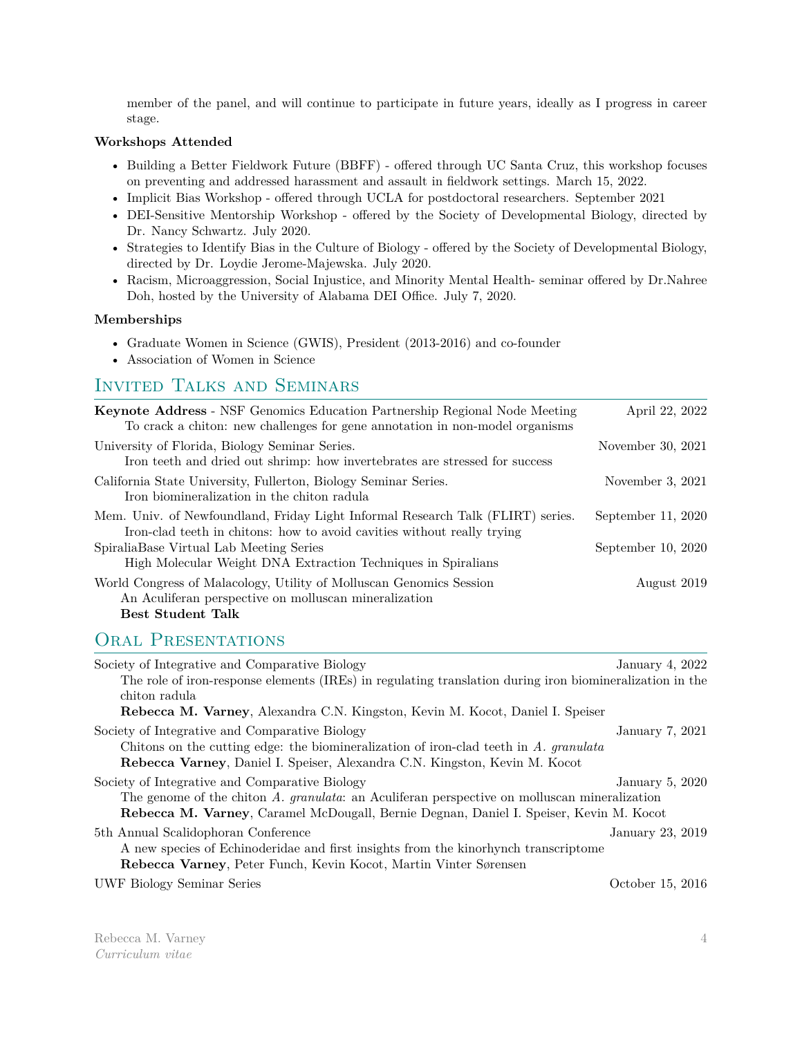member of the panel, and will continue to participate in future years, ideally as I progress in career stage.

#### **Workshops Attended**

- Building a Better Fieldwork Future (BBFF) offered through UC Santa Cruz, this workshop focuses on preventing and addressed harassment and assault in fieldwork settings. March 15, 2022.
- Implicit Bias Workshop offered through UCLA for postdoctoral researchers. September 2021
- DEI-Sensitive Mentorship Workshop offered by the Society of Developmental Biology, directed by Dr. Nancy Schwartz. July 2020.
- Strategies to Identify Bias in the Culture of Biology offered by the Society of Developmental Biology, directed by Dr. Loydie Jerome-Majewska. July 2020.
- Racism, Microaggression, Social Injustice, and Minority Mental Health- seminar offered by Dr.Nahree Doh, hosted by the University of Alabama DEI Office. July 7, 2020.

#### **Memberships**

- Graduate Women in Science (GWIS), President (2013-2016) and co-founder
- Association of Women in Science

### Invited Talks and Seminars

| <b>Keynote Address</b> - NSF Genomics Education Partnership Regional Node Meeting<br>To crack a chiton: new challenges for gene annotation in non-model organisms | April 22, 2022       |
|-------------------------------------------------------------------------------------------------------------------------------------------------------------------|----------------------|
| University of Florida, Biology Seminar Series.<br>Iron teeth and dried out shrimp: how invertebrates are stressed for success                                     | November 30, 2021    |
| California State University, Fullerton, Biology Seminar Series.<br>Iron biomineralization in the chiton radula                                                    | November $3, 2021$   |
| Mem. Univ. of Newfoundland, Friday Light Informal Research Talk (FLIRT) series.<br>Iron-clad teeth in chitons: how to avoid cavities without really trying        | September 11, $2020$ |
| SpiraliaBase Virtual Lab Meeting Series<br>High Molecular Weight DNA Extraction Techniques in Spiralians                                                          | September $10, 2020$ |
| World Congress of Malacology, Utility of Molluscan Genomics Session<br>An Aculiferan perspective on molluscan mineralization<br><b>Best Student Talk</b>          | August 2019          |

# ORAL PRESENTATIONS

| Society of Integrative and Comparative Biology                                                                                                                                                                                           | January 4, 2022  |
|------------------------------------------------------------------------------------------------------------------------------------------------------------------------------------------------------------------------------------------|------------------|
| The role of iron-response elements (IREs) in regulating translation during iron biomineralization in the                                                                                                                                 |                  |
| chiton radula                                                                                                                                                                                                                            |                  |
| Rebecca M. Varney, Alexandra C.N. Kingston, Kevin M. Kocot, Daniel I. Speiser                                                                                                                                                            |                  |
| Society of Integrative and Comparative Biology<br>Chitons on the cutting edge: the biomineralization of iron-clad teeth in $A$ . granulata<br>Rebecca Varney, Daniel I. Speiser, Alexandra C.N. Kingston, Kevin M. Kocot                 | January 7, 2021  |
| Society of Integrative and Comparative Biology<br>The genome of the chiton A. granulata: an Aculiferan perspective on molluscan mineralization<br>Rebecca M. Varney, Caramel McDougall, Bernie Degnan, Daniel I. Speiser, Kevin M. Kocot | January 5, 2020  |
| 5th Annual Scalidophoran Conference<br>A new species of Echinoderidae and first insights from the kinorhynch transcriptome<br>Rebecca Varney, Peter Funch, Kevin Kocot, Martin Vinter Sørensen                                           | January 23, 2019 |
| <b>UWF Biology Seminar Series</b>                                                                                                                                                                                                        | October 15, 2016 |

Rebecca M. Varney *Curriculum vitae*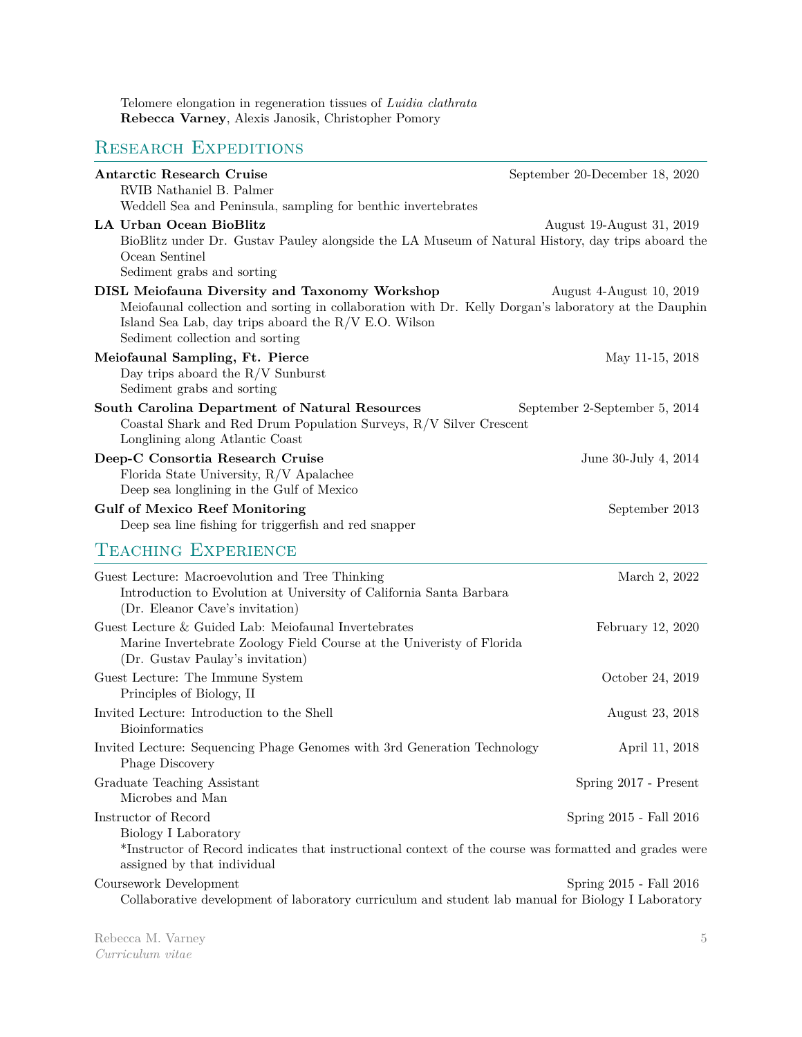Telomere elongation in regeneration tissues of *Luidia clathrata* **Rebecca Varney**, Alexis Janosik, Christopher Pomory

# RESEARCH EXPEDITIONS

| <b>Antarctic Research Cruise</b><br>RVIB Nathaniel B. Palmer                                                                                                                                                                                               | September 20-December 18, 2020 |
|------------------------------------------------------------------------------------------------------------------------------------------------------------------------------------------------------------------------------------------------------------|--------------------------------|
| Weddell Sea and Peninsula, sampling for benthic invertebrates                                                                                                                                                                                              |                                |
| <b>LA Urban Ocean BioBlitz</b><br>BioBlitz under Dr. Gustav Pauley alongside the LA Museum of Natural History, day trips aboard the<br>Ocean Sentinel                                                                                                      | August 19-August 31, 2019      |
| Sediment grabs and sorting                                                                                                                                                                                                                                 |                                |
| <b>DISL Meiofauna Diversity and Taxonomy Workshop</b><br>Meiofaunal collection and sorting in collaboration with Dr. Kelly Dorgan's laboratory at the Dauphin<br>Island Sea Lab, day trips aboard the $R/V$ E.O. Wilson<br>Sediment collection and sorting | August 4-August 10, 2019       |
| Meiofaunal Sampling, Ft. Pierce<br>Day trips aboard the $R/V$ Sunburst<br>Sediment grabs and sorting                                                                                                                                                       | May 11-15, 2018                |
| South Carolina Department of Natural Resources<br>Coastal Shark and Red Drum Population Surveys, R/V Silver Crescent<br>Longlining along Atlantic Coast                                                                                                    | September 2-September 5, 2014  |
| Deep-C Consortia Research Cruise<br>Florida State University, R/V Apalachee<br>Deep sea longlining in the Gulf of Mexico                                                                                                                                   | June 30-July 4, 2014           |
| <b>Gulf of Mexico Reef Monitoring</b><br>Deep sea line fishing for triggerfish and red snapper                                                                                                                                                             | September 2013                 |
| <b>TEACHING EXPERIENCE</b>                                                                                                                                                                                                                                 |                                |
| Guest Lecture: Macroevolution and Tree Thinking<br>Introduction to Evolution at University of California Santa Barbara<br>(Dr. Eleanor Cave's invitation)                                                                                                  | March 2, 2022                  |
| Guest Lecture & Guided Lab: Meiofaunal Invertebrates<br>Marine Invertebrate Zoology Field Course at the University of Florida<br>(Dr. Gustav Paulay's invitation)                                                                                          | February 12, 2020              |
| Guest Lecture: The Immune System<br>Principles of Biology, II                                                                                                                                                                                              | October 24, 2019               |
| Invited Lecture: Introduction to the Shell<br>Bioinformatics                                                                                                                                                                                               | August 23, 2018                |
| Invited Lecture: Sequencing Phage Genomes with 3rd Generation Technology<br>Phage Discovery                                                                                                                                                                | April 11, 2018                 |
| Graduate Teaching Assistant<br>Microbes and Man                                                                                                                                                                                                            | Spring 2017 - Present          |
| Instructor of Record<br>Biology I Laboratory<br>*Instructor of Record indicates that instructional context of the course was formatted and grades were<br>assigned by that individual                                                                      | Spring 2015 - Fall 2016        |
| Coursework Development<br>Collaborative development of laboratory curriculum and student lab manual for Biology I Laboratory                                                                                                                               | Spring 2015 - Fall 2016        |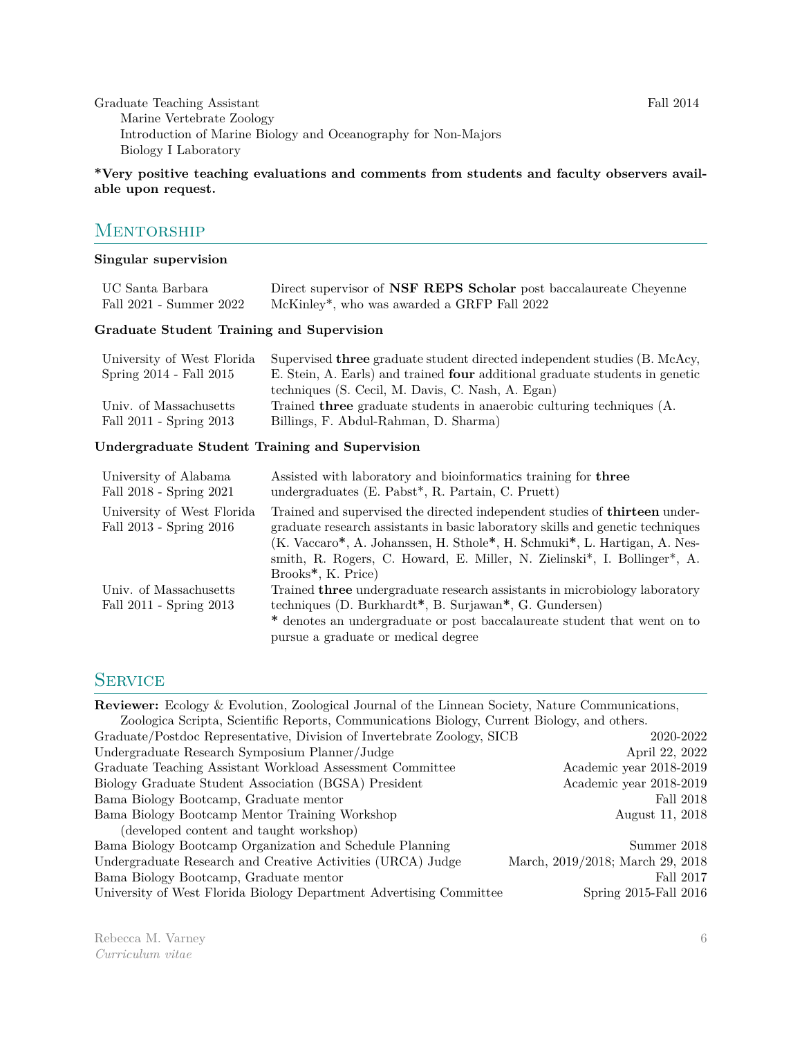Graduate Teaching Assistant Fall 2014 Marine Vertebrate Zoology Introduction of Marine Biology and Oceanography for Non-Majors Biology I Laboratory

#### **\*Very positive teaching evaluations and comments from students and faculty observers available upon request.**

### **MENTORSHIP**

#### **Singular supervision**

| UC Santa Barbara<br>Fall 2021 - Summer 2022           | Direct supervisor of <b>NSF REPS</b> Scholar post baccalaureate Chevenne<br>McKinley*, who was awarded a GRFP Fall 2022                                                                                                      |  |  |
|-------------------------------------------------------|------------------------------------------------------------------------------------------------------------------------------------------------------------------------------------------------------------------------------|--|--|
| Graduate Student Training and Supervision             |                                                                                                                                                                                                                              |  |  |
| University of West Florida<br>Spring 2014 - Fall 2015 | Supervised <b>three</b> graduate student directed independent studies (B. McAcy,<br>E. Stein, A. Earls) and trained <b>four</b> additional graduate students in genetic<br>techniques (S. Cecil, M. Davis, C. Nash, A. Egan) |  |  |

Univ. of Massachusetts Trained **three** graduate students in anaerobic culturing techniques (A.

#### **Undergraduate Student Training and Supervision**

Fall 2011 - Spring 2013 Billings, F. Abdul-Rahman, D. Sharma)

| University of Alabama<br>Fall 2018 - Spring 2021      | Assisted with laboratory and bioinformatics training for three<br>undergraduates $(E. \; Pabst^*, R. \; Partain, C. \; Prett)$                                                                                                                                                                                                                                  |
|-------------------------------------------------------|-----------------------------------------------------------------------------------------------------------------------------------------------------------------------------------------------------------------------------------------------------------------------------------------------------------------------------------------------------------------|
| University of West Florida<br>Fall 2013 - Spring 2016 | Trained and supervised the directed independent studies of <b>thirteen</b> under-<br>graduate research assistants in basic laboratory skills and genetic techniques<br>(K. Vaccaro*, A. Johanssen, H. Sthole*, H. Schmuki*, L. Hartigan, A. Nes-<br>smith, R. Rogers, C. Howard, E. Miller, N. Zielinski*, I. Bollinger*, A.<br>Brooks <sup>*</sup> , K. Price) |
| Univ. of Massachusetts<br>Fall 2011 - Spring 2013     | Trained <b>three</b> undergraduate research assistants in microbiology laboratory<br>techniques (D. Burkhardt <sup>*</sup> , B. Surjawan <sup>*</sup> , G. Gundersen)<br>* denotes an undergraduate or post baccalaureate student that went on to<br>pursue a graduate or medical degree                                                                        |

### **SERVICE**

**Reviewer:** Ecology & Evolution, Zoological Journal of the Linnean Society, Nature Communications, Zoologica Scripta, Scientific Reports, Communications Biology, Current Biology, and others. Graduate/Postdoc Representative, Division of Invertebrate Zoology, SICB 2020-2022 Undergraduate Research Symposium Planner/Judge April 22, 2022 Graduate Teaching Assistant Workload Assessment Committee Academic year 2018-2019 Biology Graduate Student Association (BGSA) President Academic year 2018-2019 Bama Biology Bootcamp, Graduate mentor Fall 2018 Bama Biology Bootcamp Mentor Training Workshop August 11, 2018 (developed content and taught workshop) Bama Biology Bootcamp Organization and Schedule Planning Summer 2018 Undergraduate Research and Creative Activities (URCA) Judge March, 2019/2018; March 29, 2018 Bama Biology Bootcamp, Graduate mentor Fall 2017 University of West Florida Biology Department Advertising Committee Spring 2015-Fall 2016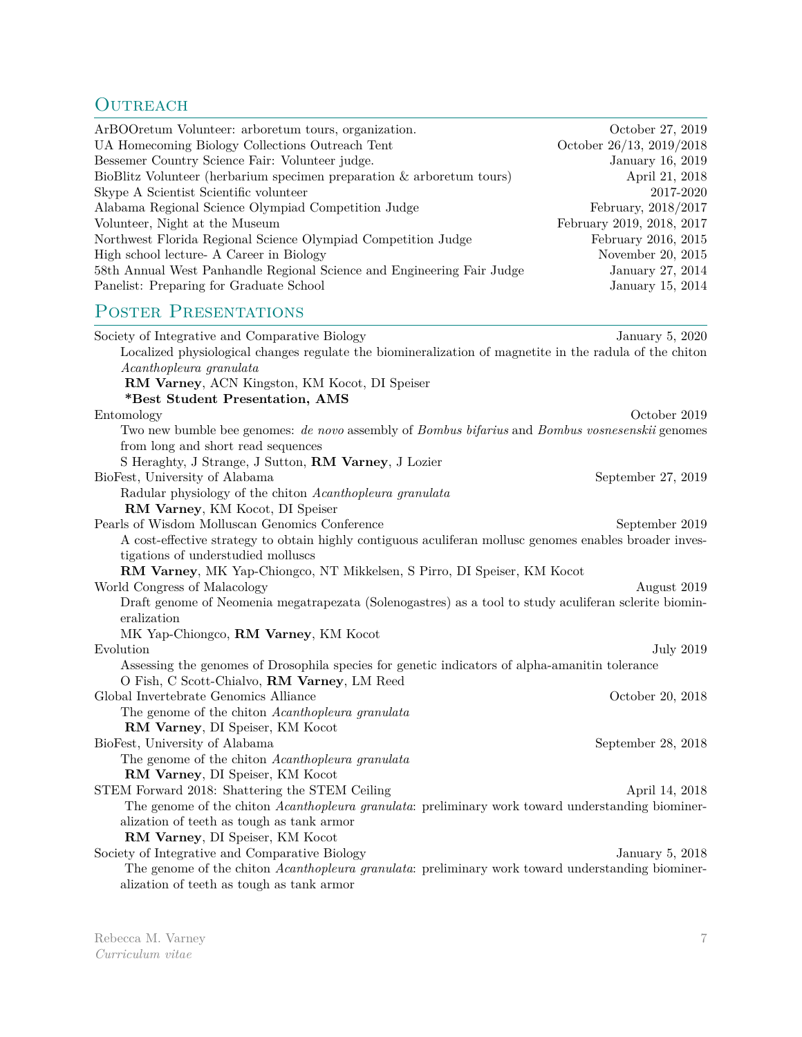# OUTREACH

| ArBOO return Volunteer: arboreturn tours, organization.                | October 27, 2019          |
|------------------------------------------------------------------------|---------------------------|
| UA Homecoming Biology Collections Outreach Tent                        | October 26/13, 2019/2018  |
| Bessemer Country Science Fair: Volunteer judge.                        | January 16, 2019          |
| BioBlitz Volunteer (herbarium specimen preparation & arboretum tours)  | April 21, 2018            |
| Skype A Scientist Scientific volunteer                                 | 2017-2020                 |
| Alabama Regional Science Olympiad Competition Judge                    | February, 2018/2017       |
| Volunteer, Night at the Museum                                         | February 2019, 2018, 2017 |
| Northwest Florida Regional Science Olympiad Competition Judge          | February 2016, 2015       |
| High school lecture- A Career in Biology                               | November 20, 2015         |
| 58th Annual West Panhandle Regional Science and Engineering Fair Judge | January 27, 2014          |
| Panelist: Preparing for Graduate School                                | January 15, 2014          |
|                                                                        |                           |

# Poster Presentations

| Society of Integrative and Comparative Biology                                                            | January 5, 2020    |
|-----------------------------------------------------------------------------------------------------------|--------------------|
| Localized physiological changes regulate the biomineralization of magnetite in the radula of the chiton   |                    |
| Acanthopleura granulata                                                                                   |                    |
| RM Varney, ACN Kingston, KM Kocot, DI Speiser                                                             |                    |
| *Best Student Presentation, AMS                                                                           |                    |
| Entomology                                                                                                | October 2019       |
| Two new bumble bee genomes: de novo assembly of Bombus bifarius and Bombus vosnesenskii genomes           |                    |
| from long and short read sequences                                                                        |                    |
| S Heraghty, J Strange, J Sutton, RM Varney, J Lozier                                                      |                    |
| BioFest, University of Alabama                                                                            | September 27, 2019 |
| Radular physiology of the chiton Acanthopleura granulata                                                  |                    |
| RM Varney, KM Kocot, DI Speiser                                                                           |                    |
| Pearls of Wisdom Molluscan Genomics Conference                                                            | September 2019     |
| A cost-effective strategy to obtain highly contiguous aculiferan mollusc genomes enables broader inves-   |                    |
| tigations of understudied molluscs                                                                        |                    |
| RM Varney, MK Yap-Chiongco, NT Mikkelsen, S Pirro, DI Speiser, KM Kocot                                   |                    |
| World Congress of Malacology                                                                              | August 2019        |
| Draft genome of Neomenia megatrapezata (Solenogastres) as a tool to study aculiferan sclerite biomin-     |                    |
| eralization                                                                                               |                    |
| MK Yap-Chiongco, RM Varney, KM Kocot                                                                      |                    |
| Evolution                                                                                                 | July 2019          |
| Assessing the genomes of Drosophila species for genetic indicators of alpha-amanitin tolerance            |                    |
| O Fish, C Scott-Chialvo, RM Varney, LM Reed                                                               |                    |
| Global Invertebrate Genomics Alliance                                                                     | October 20, 2018   |
| The genome of the chiton Acanthopleura granulata                                                          |                    |
| RM Varney, DI Speiser, KM Kocot                                                                           |                    |
| BioFest, University of Alabama                                                                            | September 28, 2018 |
| The genome of the chiton Acanthopleura granulata                                                          |                    |
| RM Varney, DI Speiser, KM Kocot                                                                           |                    |
| STEM Forward 2018: Shattering the STEM Ceiling                                                            | April 14, 2018     |
| The genome of the chiton Acanthopleura granulata: preliminary work toward understanding biominer-         |                    |
| alization of teeth as tough as tank armor                                                                 |                    |
| RM Varney, DI Speiser, KM Kocot                                                                           |                    |
| Society of Integrative and Comparative Biology                                                            | January 5, 2018    |
| The genome of the chiton <i>Acanthopleura granulata</i> : preliminary work toward understanding biominer- |                    |
| alization of teeth as tough as tank armor                                                                 |                    |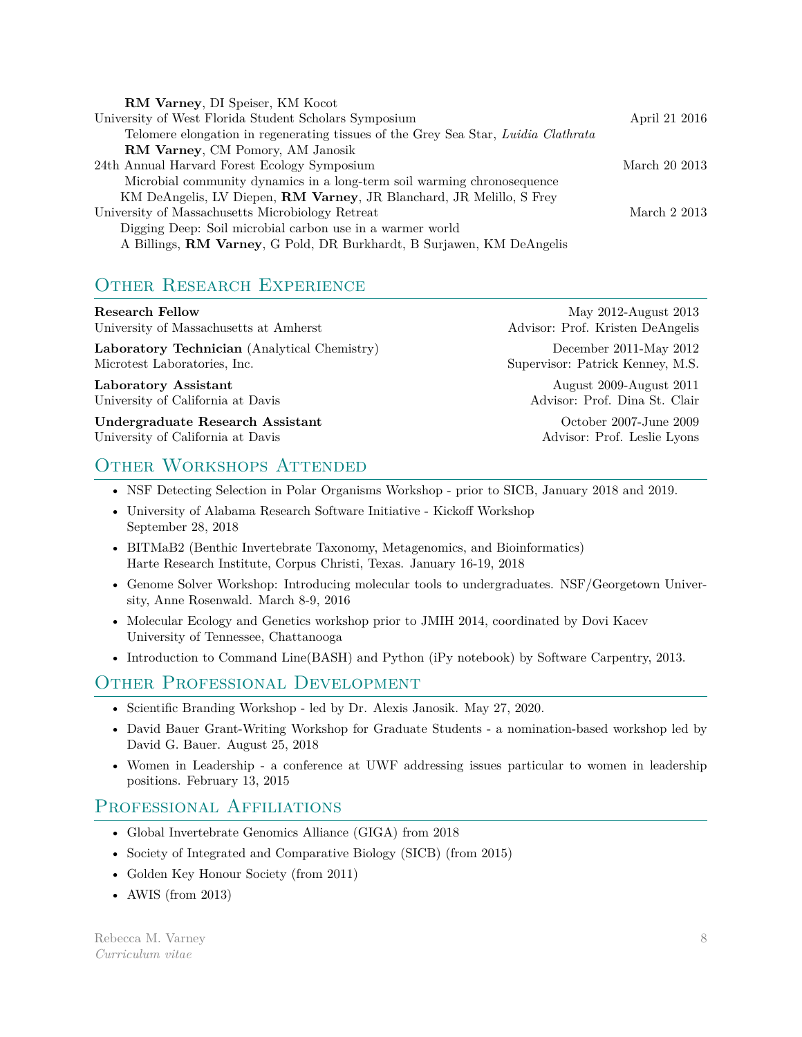| RM Varney, DI Speiser, KM Kocot                                                    |               |
|------------------------------------------------------------------------------------|---------------|
| University of West Florida Student Scholars Symposium                              | April 21 2016 |
| Telomere elongation in regenerating tissues of the Grey Sea Star, Luidia Clathrata |               |
| RM Varney, CM Pomory, AM Janosik                                                   |               |
| 24th Annual Harvard Forest Ecology Symposium                                       | March 20 2013 |
| Microbial community dynamics in a long-term soil warming chronosequence            |               |
| KM DeAngelis, LV Diepen, RM Varney, JR Blanchard, JR Melillo, S Frey               |               |
| University of Massachusetts Microbiology Retreat                                   | March 2 2013  |
| Digging Deep: Soil microbial carbon use in a warmer world                          |               |
| A Billings, RM Varney, G Pold, DR Burkhardt, B Surjawen, KM DeAngelis              |               |

# OTHER RESEARCH EXPERIENCE

| <b>Research Fellow</b>                       | May 2012-August 2013             |
|----------------------------------------------|----------------------------------|
| University of Massachusetts at Amherst       | Advisor: Prof. Kristen DeAngelis |
| Laboratory Technician (Analytical Chemistry) | December 2011-May 2012           |
| Microtest Laboratories, Inc.                 | Supervisor: Patrick Kenney, M.S. |
| Laboratory Assistant                         | August 2009-August 2011          |
| University of California at Davis            | Advisor: Prof. Dina St. Clair    |
| Undergraduate Research Assistant             | October 2007-June 2009           |
| University of California at Davis            | Advisor: Prof. Leslie Lyons      |

# OTHER WORKSHOPS ATTENDED

- NSF Detecting Selection in Polar Organisms Workshop prior to SICB, January 2018 and 2019.
- University of Alabama Research Software Initiative Kickoff Workshop September 28, 2018
- BITMaB2 (Benthic Invertebrate Taxonomy, Metagenomics, and Bioinformatics) Harte Research Institute, Corpus Christi, Texas. January 16-19, 2018
- Genome Solver Workshop: Introducing molecular tools to undergraduates. NSF/Georgetown University, Anne Rosenwald. March 8-9, 2016
- Molecular Ecology and Genetics workshop prior to JMIH 2014, coordinated by Dovi Kacev University of Tennessee, Chattanooga
- Introduction to Command Line(BASH) and Python (iPy notebook) by Software Carpentry, 2013.

# OTHER PROFESSIONAL DEVELOPMENT

- Scientific Branding Workshop led by Dr. Alexis Janosik. May 27, 2020.
- David Bauer Grant-Writing Workshop for Graduate Students a nomination-based workshop led by David G. Bauer. August 25, 2018
- Women in Leadership a conference at UWF addressing issues particular to women in leadership positions. February 13, 2015

# PROFESSIONAL AFFILIATIONS

- Global Invertebrate Genomics Alliance (GIGA) from 2018
- Society of Integrated and Comparative Biology (SICB) (from 2015)
- Golden Key Honour Society (from 2011)
- AWIS (from 2013)